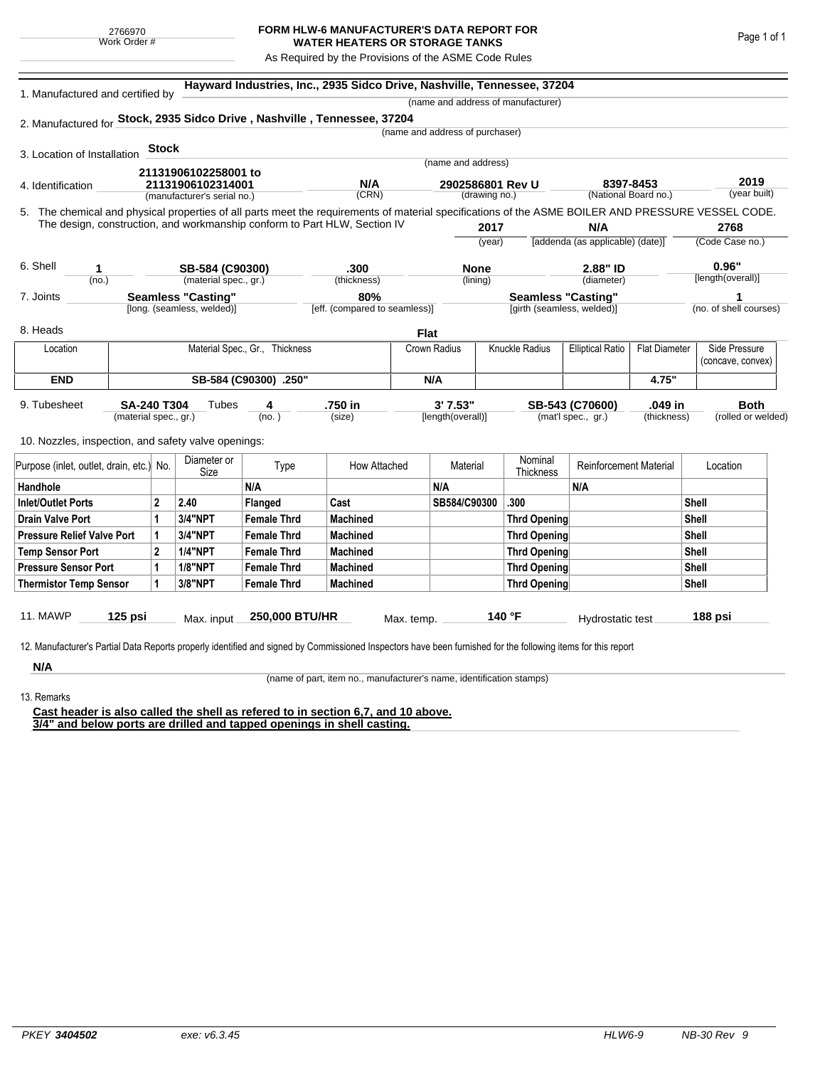## **FORM HLW-6 MANUFACTURER'S DATA REPORT FOR WATER HEATERS OR STORAGE TANKS**

As Required by the Provisions of the ASME Code Rules

| 1. Manufactured and certified by                                                                                                                   |                       |                                                                          |                            |                                |                               |              |                                 |                      | (name and address of manufacturer) |                                  |                      |                        |
|----------------------------------------------------------------------------------------------------------------------------------------------------|-----------------------|--------------------------------------------------------------------------|----------------------------|--------------------------------|-------------------------------|--------------|---------------------------------|----------------------|------------------------------------|----------------------------------|----------------------|------------------------|
| 2. Manufactured for Stock, 2935 Sidco Drive, Nashville, Tennessee, 37204                                                                           |                       |                                                                          |                            |                                |                               |              |                                 |                      |                                    |                                  |                      |                        |
|                                                                                                                                                    |                       |                                                                          |                            |                                |                               |              | (name and address of purchaser) |                      |                                    |                                  |                      |                        |
| 3. Location of Installation                                                                                                                        |                       | <b>Stock</b>                                                             |                            |                                |                               |              |                                 |                      |                                    |                                  |                      |                        |
|                                                                                                                                                    |                       |                                                                          |                            |                                |                               |              | (name and address)              |                      |                                    |                                  |                      |                        |
| 4. Identification                                                                                                                                  |                       | 21131906102258001 to<br>21131906102314001<br>(manufacturer's serial no.) |                            |                                | N/A                           |              | 2902586801 Rev U                |                      |                                    | 8397-8453                        |                      | 2019                   |
|                                                                                                                                                    | (CRN)                 |                                                                          |                            |                                | (drawing no.)                 |              |                                 | (National Board no.) |                                    | (year built)                     |                      |                        |
| 5. The chemical and physical properties of all parts meet the requirements of material specifications of the ASME BOILER AND PRESSURE VESSEL CODE. |                       |                                                                          |                            |                                |                               |              |                                 |                      |                                    |                                  |                      |                        |
| The design, construction, and workmanship conform to Part HLW, Section IV                                                                          |                       |                                                                          |                            |                                |                               | 2017         |                                 |                      | N/A                                |                                  | 2768                 |                        |
|                                                                                                                                                    |                       |                                                                          |                            |                                |                               |              |                                 | (year)               |                                    | [addenda (as applicable) (date)] |                      | (Code Case no.)        |
| 6. Shell<br>1                                                                                                                                      |                       |                                                                          | SB-584 (C90300)            |                                | .300                          |              | None                            |                      |                                    | 2.88" ID                         |                      | 0.96"                  |
| (no.)                                                                                                                                              |                       |                                                                          | (material spec., gr.)      |                                | (thickness)                   |              | (lining)                        |                      |                                    | (diameter)                       |                      | [length(overall)]      |
| 7. Joints                                                                                                                                          |                       |                                                                          | <b>Seamless "Casting"</b>  |                                | 80%                           |              |                                 |                      | <b>Seamless "Casting"</b>          |                                  |                      |                        |
|                                                                                                                                                    |                       |                                                                          | [long. (seamless, welded)] |                                | [eff. (compared to seamless)] |              |                                 |                      | [girth (seamless, welded)]         |                                  |                      | (no. of shell courses) |
| 8. Heads                                                                                                                                           |                       |                                                                          |                            |                                |                               | <b>Flat</b>  |                                 |                      |                                    |                                  |                      |                        |
| Location                                                                                                                                           |                       |                                                                          |                            | Material Spec., Gr., Thickness |                               | Crown Radius |                                 |                      | Knuckle Radius                     | <b>Elliptical Ratio</b>          | <b>Flat Diameter</b> | Side Pressure          |
|                                                                                                                                                    |                       |                                                                          |                            |                                |                               |              |                                 |                      |                                    |                                  |                      | (concave, convex)      |
| <b>END</b>                                                                                                                                         |                       |                                                                          |                            | SB-584 (C90300) .250"          |                               | N/A          |                                 |                      |                                    |                                  | 4.75"                |                        |
| 9. Tubesheet                                                                                                                                       | <b>SA-240 T304</b>    |                                                                          | Tubes                      | 4                              | .750 in                       |              | 3'7.53"                         |                      |                                    | SB-543 (C70600)                  | .049 in              | <b>Both</b>            |
|                                                                                                                                                    | (material spec., gr.) |                                                                          |                            | (no. )                         | (size)                        |              | [length(overall)]               |                      |                                    | (mat'l spec., gr.)               | (thickness)          | (rolled or welded)     |
| 10. Nozzles, inspection, and safety valve openings:                                                                                                |                       |                                                                          |                            |                                |                               |              |                                 |                      |                                    |                                  |                      |                        |
|                                                                                                                                                    |                       |                                                                          |                            |                                |                               |              |                                 |                      |                                    |                                  |                      |                        |
| Purpose (inlet, outlet, drain, etc.) No.                                                                                                           |                       |                                                                          | Diameter or<br>Size        | Type                           | How Attached                  |              | Material                        |                      | Nominal<br>Thickness               | <b>Reinforcement Material</b>    |                      | Location               |
| Handhole                                                                                                                                           |                       |                                                                          |                            | N/A                            |                               |              | N/A                             |                      |                                    | N/A                              |                      |                        |
| <b>Inlet/Outlet Ports</b>                                                                                                                          |                       | $\overline{2}$                                                           | 2.40                       | Flanged                        | Cast                          |              | SB584/C90300                    |                      | .300                               |                                  |                      | <b>Shell</b>           |
| <b>Drain Valve Port</b>                                                                                                                            |                       | 1                                                                        | 3/4"NPT                    | <b>Female Thrd</b>             | <b>Machined</b>               |              |                                 |                      | Thrd Opening                       |                                  |                      | Shell                  |
| <b>Pressure Relief Valve Port</b>                                                                                                                  |                       | 1                                                                        | 3/4"NPT                    | <b>Female Thrd</b>             | <b>Machined</b>               |              |                                 |                      | <b>Thrd Opening</b>                |                                  |                      | Shell                  |
| <b>Temp Sensor Port</b>                                                                                                                            |                       | $\mathbf 2$                                                              | <b>1/4"NPT</b>             | <b>Female Thrd</b>             | <b>Machined</b>               |              |                                 |                      | Thrd Opening                       |                                  |                      | <b>Shell</b>           |
| <b>Pressure Sensor Port</b>                                                                                                                        |                       | 1                                                                        | <b>1/8"NPT</b>             | <b>Female Thrd</b>             | <b>Machined</b>               |              |                                 |                      | Thrd Opening                       |                                  |                      | <b>Shell</b>           |
| <b>Thermistor Temp Sensor</b>                                                                                                                      |                       | 1                                                                        | 3/8"NPT                    | <b>Female Thrd</b>             | <b>Machined</b>               |              |                                 |                      | Thrd Opening                       |                                  |                      | <b>Shell</b>           |
|                                                                                                                                                    |                       |                                                                          |                            |                                |                               |              |                                 |                      |                                    |                                  |                      |                        |
| 11. MAWP                                                                                                                                           | 125 psi               |                                                                          | Max. input                 | 250,000 BTU/HR                 |                               | Max. temp.   |                                 | 140 °F               |                                    | Hydrostatic test                 |                      | 188 psi                |

**N/A**

(name of part, item no., manufacturer's name, identification stamps)

13. Remarks

**Cast header is also called the shell as refered to in section 6,7, and 10 above. 3/4" and below ports are drilled and tapped openings in shell casting.**